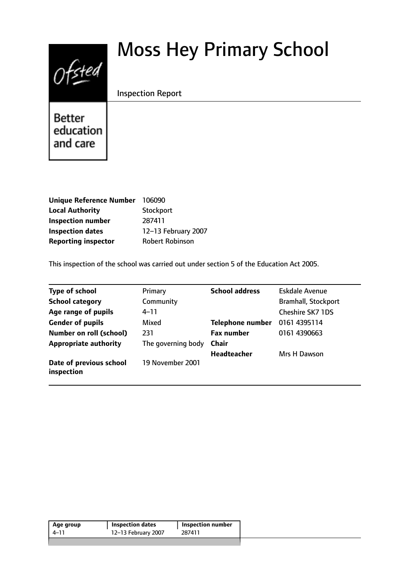# $0$ fsted

# Moss Hey Primary School

Inspection Report

**Better** education and care

| <b>Unique Reference Number</b> | 106090                 |
|--------------------------------|------------------------|
| <b>Local Authority</b>         | Stockport              |
| <b>Inspection number</b>       | 287411                 |
| <b>Inspection dates</b>        | 12-13 February 2007    |
| <b>Reporting inspector</b>     | <b>Robert Robinson</b> |

This inspection of the school was carried out under section 5 of the Education Act 2005.

| <b>Type of school</b>                 | Primary            | <b>School address</b>   | <b>Eskdale Avenue</b>      |
|---------------------------------------|--------------------|-------------------------|----------------------------|
| <b>School category</b>                | Community          |                         | <b>Bramhall, Stockport</b> |
| Age range of pupils                   | $4 - 11$           |                         | <b>Cheshire SK7 1DS</b>    |
| <b>Gender of pupils</b>               | Mixed              | <b>Telephone number</b> | 0161 4395114               |
| <b>Number on roll (school)</b>        | 231                | <b>Fax number</b>       | 0161 4390663               |
| <b>Appropriate authority</b>          | The governing body | Chair                   |                            |
|                                       |                    | <b>Headteacher</b>      | Mrs H Dawson               |
| Date of previous school<br>inspection | 19 November 2001   |                         |                            |

| 12-13 February 2007<br>287411<br>4–11 | Age group | <b>Inspection dates</b> | <b>Inspection number</b> |  |
|---------------------------------------|-----------|-------------------------|--------------------------|--|
|                                       |           |                         |                          |  |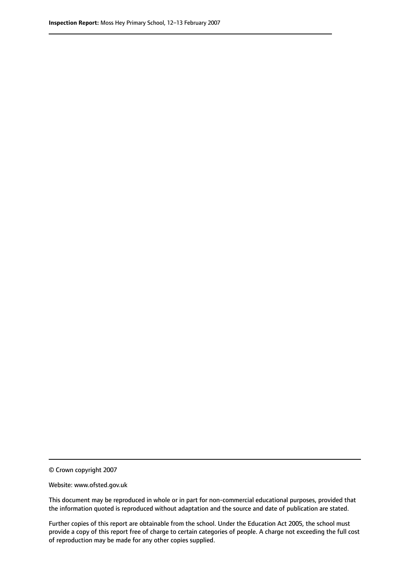© Crown copyright 2007

Website: www.ofsted.gov.uk

This document may be reproduced in whole or in part for non-commercial educational purposes, provided that the information quoted is reproduced without adaptation and the source and date of publication are stated.

Further copies of this report are obtainable from the school. Under the Education Act 2005, the school must provide a copy of this report free of charge to certain categories of people. A charge not exceeding the full cost of reproduction may be made for any other copies supplied.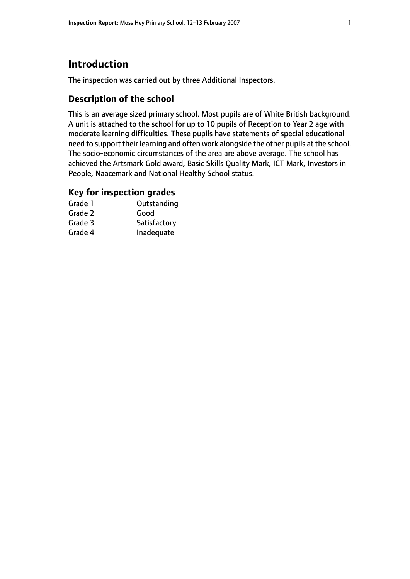# **Introduction**

The inspection was carried out by three Additional Inspectors.

#### **Description of the school**

This is an average sized primary school. Most pupils are of White British background. A unit is attached to the school for up to 10 pupils of Reception to Year 2 age with moderate learning difficulties. These pupils have statements of special educational need to support their learning and often work alongside the other pupils at the school. The socio-economic circumstances of the area are above average. The school has achieved the Artsmark Gold award, Basic Skills Quality Mark, ICT Mark, Investors in People, Naacemark and National Healthy School status.

#### **Key for inspection grades**

| Grade 1 | Outstanding  |
|---------|--------------|
| Grade 2 | Good         |
| Grade 3 | Satisfactory |
| Grade 4 | Inadequate   |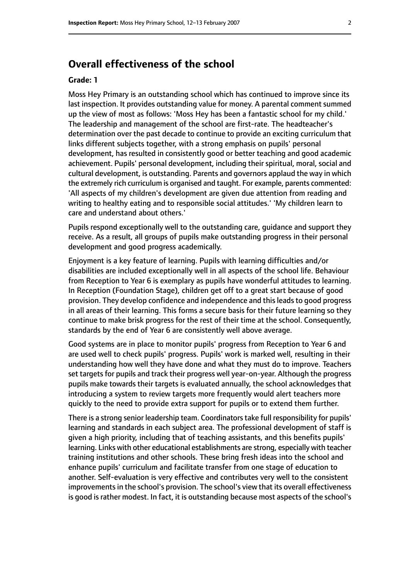#### **Overall effectiveness of the school**

#### **Grade: 1**

Moss Hey Primary is an outstanding school which has continued to improve since its last inspection. It provides outstanding value for money. A parental comment summed up the view of most as follows: 'Moss Hey has been a fantastic school for my child.' The leadership and management of the school are first-rate. The headteacher's determination over the past decade to continue to provide an exciting curriculum that links different subjects together, with a strong emphasis on pupils' personal development, has resulted in consistently good or better teaching and good academic achievement. Pupils' personal development, including their spiritual, moral, social and cultural development, is outstanding. Parents and governors applaud the way in which the extremely rich curriculum is organised and taught. For example, parents commented: 'All aspects of my children's development are given due attention from reading and writing to healthy eating and to responsible social attitudes.' 'My children learn to care and understand about others.'

Pupils respond exceptionally well to the outstanding care, guidance and support they receive. As a result, all groups of pupils make outstanding progress in their personal development and good progress academically.

Enjoyment is a key feature of learning. Pupils with learning difficulties and/or disabilities are included exceptionally well in all aspects of the school life. Behaviour from Reception to Year 6 is exemplary as pupils have wonderful attitudes to learning. In Reception (Foundation Stage), children get off to a great start because of good provision. They develop confidence and independence and this leads to good progress in all areas of their learning. This forms a secure basis for their future learning so they continue to make brisk progress for the rest of their time at the school. Consequently, standards by the end of Year 6 are consistently well above average.

Good systems are in place to monitor pupils' progress from Reception to Year 6 and are used well to check pupils' progress. Pupils' work is marked well, resulting in their understanding how well they have done and what they must do to improve. Teachers set targets for pupils and track their progress well year-on-year. Although the progress pupils make towards their targets is evaluated annually, the school acknowledges that introducing a system to review targets more frequently would alert teachers more quickly to the need to provide extra support for pupils or to extend them further.

There is a strong senior leadership team. Coordinators take full responsibility for pupils' learning and standards in each subject area. The professional development of staff is given a high priority, including that of teaching assistants, and this benefits pupils' learning. Links with other educational establishments are strong, especially with teacher training institutions and other schools. These bring fresh ideas into the school and enhance pupils' curriculum and facilitate transfer from one stage of education to another. Self-evaluation is very effective and contributes very well to the consistent improvements in the school's provision. The school's view that its overall effectiveness is good is rather modest. In fact, it is outstanding because most aspects of the school's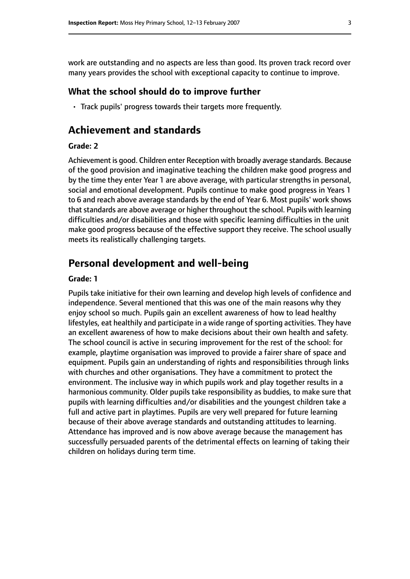work are outstanding and no aspects are less than good. Its proven track record over many years provides the school with exceptional capacity to continue to improve.

#### **What the school should do to improve further**

• Track pupils' progress towards their targets more frequently.

#### **Achievement and standards**

#### **Grade: 2**

Achievement is good. Children enter Reception with broadly average standards. Because of the good provision and imaginative teaching the children make good progress and by the time they enter Year 1 are above average, with particular strengths in personal, social and emotional development. Pupils continue to make good progress in Years 1 to 6 and reach above average standards by the end of Year 6. Most pupils' work shows that standards are above average or higher throughout the school. Pupils with learning difficulties and/or disabilities and those with specific learning difficulties in the unit make good progress because of the effective support they receive. The school usually meets its realistically challenging targets.

#### **Personal development and well-being**

#### **Grade: 1**

Pupils take initiative for their own learning and develop high levels of confidence and independence. Several mentioned that this was one of the main reasons why they enjoy school so much. Pupils gain an excellent awareness of how to lead healthy lifestyles, eat healthily and participate in a wide range of sporting activities. They have an excellent awareness of how to make decisions about their own health and safety. The school council is active in securing improvement for the rest of the school: for example, playtime organisation was improved to provide a fairer share of space and equipment. Pupils gain an understanding of rights and responsibilities through links with churches and other organisations. They have a commitment to protect the environment. The inclusive way in which pupils work and play together results in a harmonious community. Older pupils take responsibility as buddies, to make sure that pupils with learning difficulties and/or disabilities and the youngest children take a full and active part in playtimes. Pupils are very well prepared for future learning because of their above average standards and outstanding attitudes to learning. Attendance has improved and is now above average because the management has successfully persuaded parents of the detrimental effects on learning of taking their children on holidays during term time.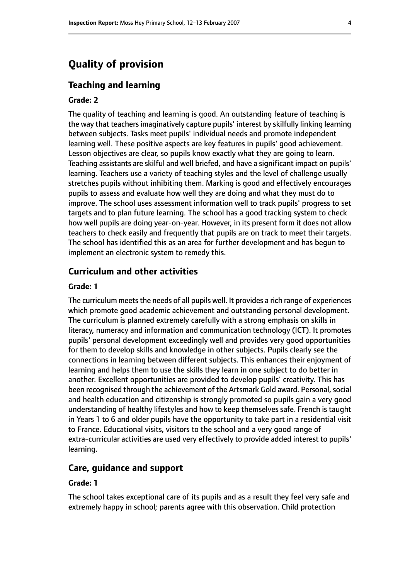### **Quality of provision**

#### **Teaching and learning**

#### **Grade: 2**

The quality of teaching and learning is good. An outstanding feature of teaching is the way that teachers imaginatively capture pupils' interest by skilfully linking learning between subjects. Tasks meet pupils' individual needs and promote independent learning well. These positive aspects are key features in pupils' good achievement. Lesson objectives are clear, so pupils know exactly what they are going to learn. Teaching assistants are skilful and well briefed, and have a significant impact on pupils' learning. Teachers use a variety of teaching styles and the level of challenge usually stretches pupils without inhibiting them. Marking is good and effectively encourages pupils to assess and evaluate how well they are doing and what they must do to improve. The school uses assessment information well to track pupils' progress to set targets and to plan future learning. The school has a good tracking system to check how well pupils are doing year-on-year. However, in its present form it does not allow teachers to check easily and frequently that pupils are on track to meet their targets. The school has identified this as an area for further development and has begun to implement an electronic system to remedy this.

#### **Curriculum and other activities**

#### **Grade: 1**

The curriculum meets the needs of all pupils well. It provides a rich range of experiences which promote good academic achievement and outstanding personal development. The curriculum is planned extremely carefully with a strong emphasis on skills in literacy, numeracy and information and communication technology (ICT). It promotes pupils' personal development exceedingly well and provides very good opportunities for them to develop skills and knowledge in other subjects. Pupils clearly see the connections in learning between different subjects. This enhances their enjoyment of learning and helps them to use the skills they learn in one subject to do better in another. Excellent opportunities are provided to develop pupils' creativity. This has been recognised through the achievement of the Artsmark Gold award. Personal, social and health education and citizenship is strongly promoted so pupils gain a very good understanding of healthy lifestyles and how to keep themselves safe. French is taught in Years 1 to 6 and older pupils have the opportunity to take part in a residential visit to France. Educational visits, visitors to the school and a very good range of extra-curricular activities are used very effectively to provide added interest to pupils' learning.

#### **Care, guidance and support**

#### **Grade: 1**

The school takes exceptional care of its pupils and as a result they feel very safe and extremely happy in school; parents agree with this observation. Child protection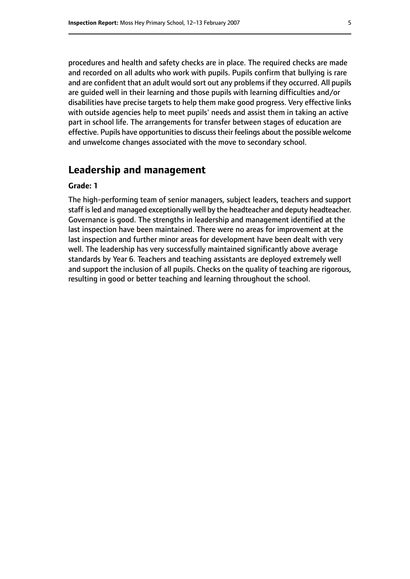procedures and health and safety checks are in place. The required checks are made and recorded on all adults who work with pupils. Pupils confirm that bullying is rare and are confident that an adult would sort out any problems if they occurred. All pupils are guided well in their learning and those pupils with learning difficulties and/or disabilities have precise targets to help them make good progress. Very effective links with outside agencies help to meet pupils' needs and assist them in taking an active part in school life. The arrangements for transfer between stages of education are effective. Pupils have opportunities to discuss their feelings about the possible welcome and unwelcome changes associated with the move to secondary school.

#### **Leadership and management**

#### **Grade: 1**

The high-performing team of senior managers, subject leaders, teachers and support staff isled and managed exceptionally well by the headteacher and deputy headteacher. Governance is good. The strengths in leadership and management identified at the last inspection have been maintained. There were no areas for improvement at the last inspection and further minor areas for development have been dealt with very well. The leadership has very successfully maintained significantly above average standards by Year 6. Teachers and teaching assistants are deployed extremely well and support the inclusion of all pupils. Checks on the quality of teaching are rigorous, resulting in good or better teaching and learning throughout the school.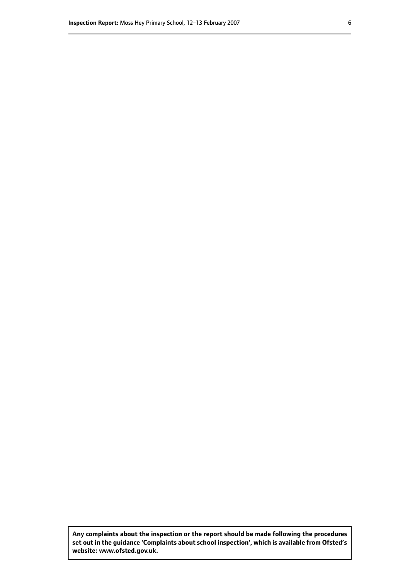**Any complaints about the inspection or the report should be made following the procedures set out inthe guidance 'Complaints about school inspection', whichis available from Ofsted's website: www.ofsted.gov.uk.**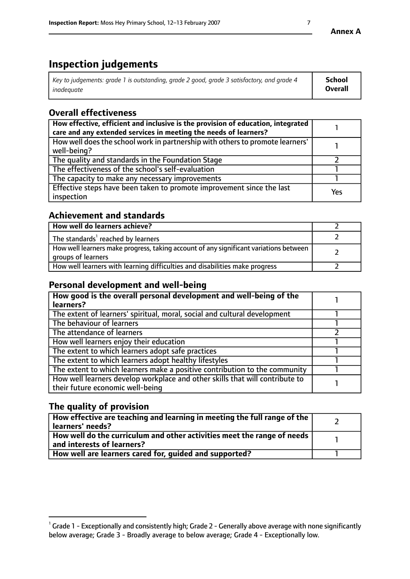# **Inspection judgements**

| Key to judgements: grade 1 is outstanding, grade 2 good, grade 3 satisfactory, and grade 4 | School         |
|--------------------------------------------------------------------------------------------|----------------|
| inadeauate                                                                                 | <b>Overall</b> |

## **Overall effectiveness**

| How effective, efficient and inclusive is the provision of education, integrated<br>care and any extended services in meeting the needs of learners? |     |
|------------------------------------------------------------------------------------------------------------------------------------------------------|-----|
| How well does the school work in partnership with others to promote learners'<br>well-being?                                                         |     |
| The quality and standards in the Foundation Stage                                                                                                    |     |
| The effectiveness of the school's self-evaluation                                                                                                    |     |
| The capacity to make any necessary improvements                                                                                                      |     |
| Effective steps have been taken to promote improvement since the last<br>inspection                                                                  | Yes |

#### **Achievement and standards**

| How well do learners achieve?                                                                               |  |
|-------------------------------------------------------------------------------------------------------------|--|
| The standards <sup>1</sup> reached by learners                                                              |  |
| How well learners make progress, taking account of any significant variations between<br>groups of learners |  |
| How well learners with learning difficulties and disabilities make progress                                 |  |

#### **Personal development and well-being**

| How good is the overall personal development and well-being of the<br>learners?                                  |  |
|------------------------------------------------------------------------------------------------------------------|--|
| The extent of learners' spiritual, moral, social and cultural development                                        |  |
| The behaviour of learners                                                                                        |  |
| The attendance of learners                                                                                       |  |
| How well learners enjoy their education                                                                          |  |
| The extent to which learners adopt safe practices                                                                |  |
| The extent to which learners adopt healthy lifestyles                                                            |  |
| The extent to which learners make a positive contribution to the community                                       |  |
| How well learners develop workplace and other skills that will contribute to<br>their future economic well-being |  |

#### **The quality of provision**

| How effective are teaching and learning in meeting the full range of the<br>  learners' needs?                      |  |
|---------------------------------------------------------------------------------------------------------------------|--|
| $\mid$ How well do the curriculum and other activities meet the range of needs<br>$\mid$ and interests of learners? |  |
| How well are learners cared for, guided and supported?                                                              |  |

 $^1$  Grade 1 - Exceptionally and consistently high; Grade 2 - Generally above average with none significantly below average; Grade 3 - Broadly average to below average; Grade 4 - Exceptionally low.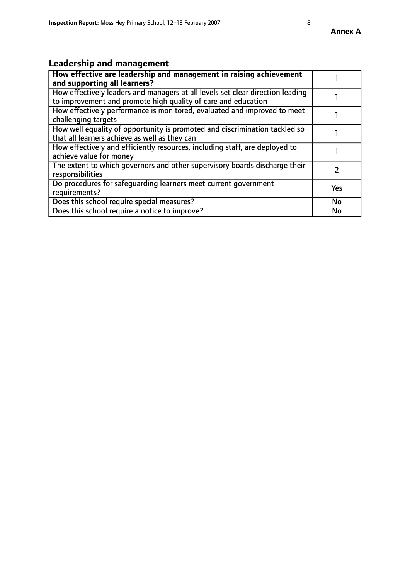#### **Annex A**

# **Leadership and management**

| How effective are leadership and management in raising achievement<br>and supporting all learners?                                              |           |
|-------------------------------------------------------------------------------------------------------------------------------------------------|-----------|
| How effectively leaders and managers at all levels set clear direction leading<br>to improvement and promote high quality of care and education |           |
| How effectively performance is monitored, evaluated and improved to meet<br>challenging targets                                                 |           |
| How well equality of opportunity is promoted and discrimination tackled so<br>that all learners achieve as well as they can                     |           |
| How effectively and efficiently resources, including staff, are deployed to<br>achieve value for money                                          |           |
| The extent to which governors and other supervisory boards discharge their<br>responsibilities                                                  |           |
| Do procedures for safequarding learners meet current government<br>requirements?                                                                | Yes       |
| Does this school require special measures?                                                                                                      | <b>No</b> |
| Does this school require a notice to improve?                                                                                                   | No        |